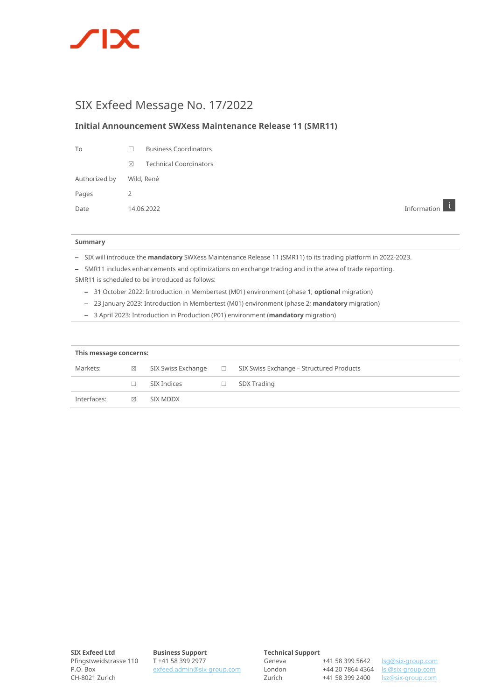

# SIX Exfeed Message No. 17/2022

### **Initial Announcement SWXess Maintenance Release 11 (SMR11)**

| Τo                       |               | <b>Business Coordinators</b>  |
|--------------------------|---------------|-------------------------------|
|                          | $\boxtimes$   | <b>Technical Coordinators</b> |
| Authorized by Wild, René |               |                               |
| Pages                    | $\mathcal{P}$ |                               |
|                          |               |                               |

Date 14.06.2022 Information

#### **Summary**

– SIX will introduce the **mandatory** SWXess Maintenance Release 11 (SMR11) to its trading platform in 2022-2023.

– SMR11 includes enhancements and optimizations on exchange trading and in the area of trade reporting.

SMR11 is scheduled to be introduced as follows:

- 31 October 2022: Introduction in Membertest (M01) environment (phase 1; **optional** migration)
- 23 January 2023: Introduction in Membertest (M01) environment (phase 2; **mandatory** migration)
- 3 April 2023: Introduction in Production (P01) environment (**mandatory** migration)

| This message concerns: |   |                    |        |                                          |  |  |
|------------------------|---|--------------------|--------|------------------------------------------|--|--|
| Markets:               | ⊠ | SIX Swiss Exchange | $\Box$ | SIX Swiss Exchange - Structured Products |  |  |
|                        |   | SIX Indices        | □      | SDX Trading                              |  |  |
| Interfaces:            | ⊠ | SIX MDDX           |        |                                          |  |  |

**Business Support**  T +41 58 399 2977 exfeed.admin@six-group.com

#### **Technical Support**

London Zurich

Geneva +41 58 399 5642

+44 20 7864 4364 lsl@six-group.com +41 58 399 2400 lsz@six-group.com lsg@six-group.com